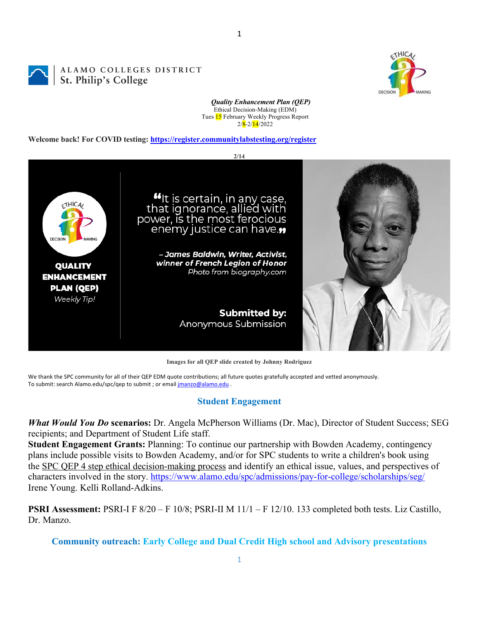DECISION

*Quality Enhancement Plan (QEP)* Ethical Decision-Making (EDM) Tues 15 February Weekly Progress Report  $2/\sqrt{8} - 2/\sqrt{14}/2022$ 

**Welcome back! For COVID testing: https://register.communitylabstesting.org/register**

ALAMO COLLEGES DISTRICT

St. Philip's College



**Images for all QEP slide created by Johnny Rodriguez**

We thank the SPC community for all of their QEP EDM quote contributions; all future quotes gratefully accepted and vetted anonymously. To submit: search Alamo.edu/spc/qep to submit ; or email *jmanzo@alamo.edu* .

#### **Student Engagement**

*What Would You Do* **scenarios:** Dr. Angela McPherson Williams (Dr. Mac), Director of Student Success; SEG recipients; and Department of Student Life staff.

**Student Engagement Grants:** Planning: To continue our partnership with Bowden Academy, contingency plans include possible visits to Bowden Academy, and/or for SPC students to write a children's book using the SPC QEP 4 step ethical decision-making process and identify an ethical issue, values, and perspectives of characters involved in the story. https://www.alamo.edu/spc/admissions/pay-for-college/scholarships/seg/ Irene Young. Kelli Rolland-Adkins.

**PSRI Assessment:** PSRI-I F 8/20 – F 10/8; PSRI-II M 11/1 – F 12/10. 133 completed both tests. Liz Castillo, Dr. Manzo.

**Community outreach: Early College and Dual Credit High school and Advisory presentations**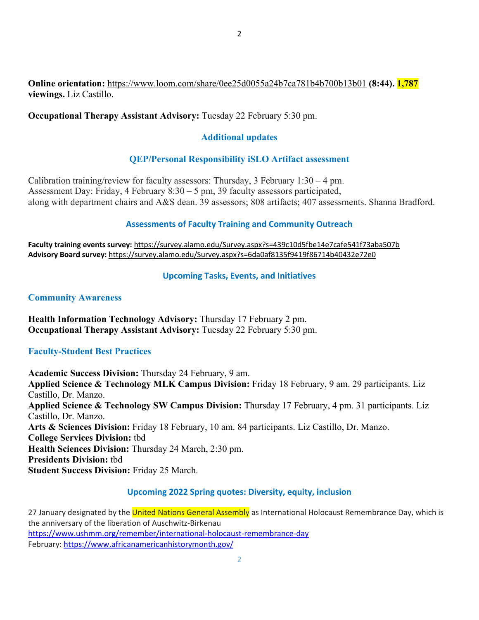## **Online orientation:** https://www.loom.com/share/0ee25d0055a24b7ca781b4b700b13b01 **(8:44). 1,787 viewings.** Liz Castillo.

## **Occupational Therapy Assistant Advisory:** Tuesday 22 February 5:30 pm.

# **Additional updates**

# **QEP/Personal Responsibility iSLO Artifact assessment**

Calibration training/review for faculty assessors: Thursday, 3 February  $1:30 - 4$  pm. Assessment Day: Friday, 4 February 8:30 – 5 pm, 39 faculty assessors participated, along with department chairs and A&S dean. 39 assessors; 808 artifacts; 407 assessments. Shanna Bradford.

## **Assessments of Faculty Training and Community Outreach**

**Faculty training events survey:** https://survey.alamo.edu/Survey.aspx?s=439c10d5fbe14e7cafe541f73aba507b **Advisory Board survey:** https://survey.alamo.edu/Survey.aspx?s=6da0af8135f9419f86714b40432e72e0

## **Upcoming Tasks, Events, and Initiatives**

### **Community Awareness**

**Health Information Technology Advisory:** Thursday 17 February 2 pm. **Occupational Therapy Assistant Advisory:** Tuesday 22 February 5:30 pm.

### **Faculty-Student Best Practices**

**Academic Success Division:** Thursday 24 February, 9 am. **Applied Science & Technology MLK Campus Division:** Friday 18 February, 9 am. 29 participants. Liz Castillo, Dr. Manzo. **Applied Science & Technology SW Campus Division:** Thursday 17 February, 4 pm. 31 participants. Liz Castillo, Dr. Manzo. **Arts & Sciences Division:** Friday 18 February, 10 am. 84 participants. Liz Castillo, Dr. Manzo. **College Services Division:** tbd **Health Sciences Division:** Thursday 24 March, 2:30 pm. **Presidents Division:** tbd **Student Success Division:** Friday 25 March.

### **Upcoming 2022 Spring quotes: Diversity, equity, inclusion**

27 January designated by the United Nations General Assembly as International Holocaust Remembrance Day, which is the anniversary of the liberation of Auschwitz-Birkenau https://www.ushmm.org/remember/international-holocaust-remembrance-day February: https://www.africanamericanhistorymonth.gov/